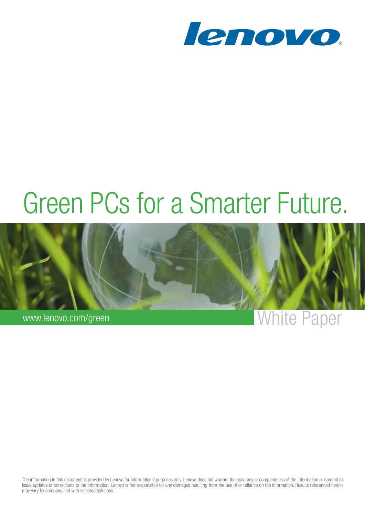

# Green PCs for a Smarter Future.



The information in this document is provided by Lenovo for informational purposes only. Lenovo does not warrant the accuracy or completeness of the information or commit to issue updates or corrections to the information. Lenovo is not responsible for any damages resulting from the use of or reliance on the information. Results referenced herein may vary by company and with selected solutions.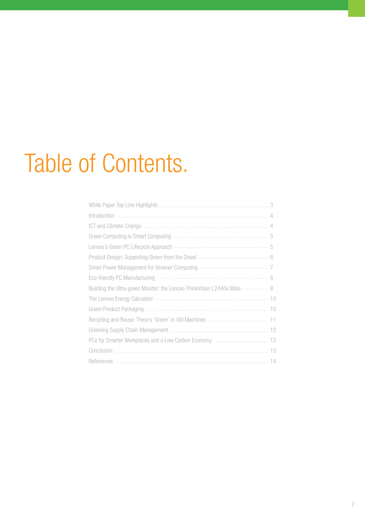# Table of Contents.

| Building the Ultra-green Monitor: the Lenovo ThinkVision L2440x Wide  8 |  |
|-------------------------------------------------------------------------|--|
|                                                                         |  |
|                                                                         |  |
|                                                                         |  |
|                                                                         |  |
|                                                                         |  |
|                                                                         |  |
|                                                                         |  |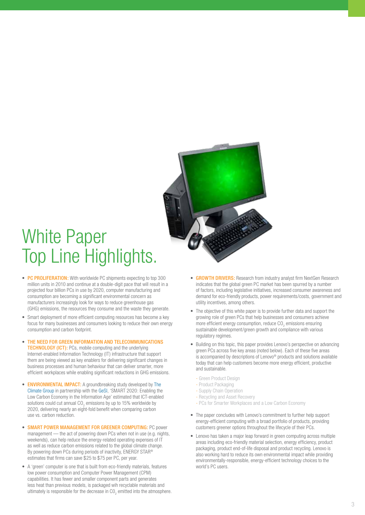<span id="page-2-0"></span>

## White Paper Top Line Highlights.

- PC PROLIFERATION: With worldwide PC shipments expecting to top 300 million units in 2010 and continue at a double-digit pace that will result in a projected four billion PCs in use by 2020, computer manufacturing and consumption are becoming a significant environmental concern as manufacturers increasingly look for ways to reduce greenhouse gas (GHG) emissions, the resources they consume and the waste they generate.
- Smart deployment of more efficient computing resources has become a key focus for many businesses and consumers looking to reduce their own energy consumption and carbon footprint.
- THE NEED FOR GREEN INFORMATION AND TELECOMMUNICATIONS **TECHNOLOGY (ICT):** PCs, mobile computing and the underlying Internet-enabled Information Technology (IT) infrastructure that support them are being viewed as key enablers for delivering significant changes in business processes and human behaviour that can deliver smarter, more efficient workplaces while enabling significant reductions in GHG emissions.
- ENVIRONMENTAL IMPACT: A groundbreaking study developed by The [Climate Group](http://www.theclimategroup.org/) in partnership with the [GeSI,](http://www.gesi.org/) 'SMART 2020: Enabling the Low Carbon Economy in the Information Age' estimated that ICT-enabled solutions could cut annual  $CO_2$  emissions by up to 15% worldwide by 2020, delivering nearly an eight-fold benefit when comparing carbon use vs. carbon reduction.
- SMART POWER MANAGEMENT FOR GREENER COMPUTING: PC power management — the act of powering down PCs when not in use (e.g. nights, weekends), can help reduce the energy-related operating expenses of IT as well as reduce carbon emissions related to the global climate change. By powering down PCs during periods of inactivity, ENERGY STAR® estimates that firms can save \$25 to \$75 per PC, per year.
- A 'green' computer is one that is built from eco-friendly materials, features low power consumption and Computer Power Management (CPM) capabilities. It has fewer and smaller component parts and generates less heat than previous models, is packaged wih recyclable materials and ultimately is responsible for the decrease in CO<sub>2</sub> emitted into the atmosphere.
- GROWTH DRIVERS: Research from industry analyst firm NextGen Research indicates that the global green PC market has been spurred by a number of factors, including legislative initiatives, increased consumer awareness and demand for eco-friendly products, power requirements/costs, government and utility incentives, among others.
- The objective of this white paper is to provide further data and support the growing role of green PCs that help businesses and consumers achieve more efficient energy consumption, reduce  $CO_2$  emissions ensuring sustainable development/green growth and compliance with various regulatory regimes.
- Building on this topic, this paper provides Lenovo's perspective on advancing green PCs across five key areas (noted below). Each of these five areas is accompanied by descriptions of Lenovo® products and solutions available today that can help customers become more energy efficient, productive and sustainable.
	- Green Product Design
	- Product Packaging
	- Supply Chain Operation
	- Recycling and Asset Recovery
	- PCs for Smarter Workplaces and a Low Carbon Economy
- The paper concludes with Lenovo's commitment to further help support energy-efficient computing with a broad portfolio of products, providing customers greener options throughout the lifecycle of their PCs.
- Lenovo has taken a major leap forward in green computing across multiple areas including eco-friendly material selection, energy efficiency, product packaging, product end-of-life disposal and product recycling. Lenovo is also working hard to reduce its own environmental impact while providing environmentally-responsible, energy-efficient technology choices to the world's PC users.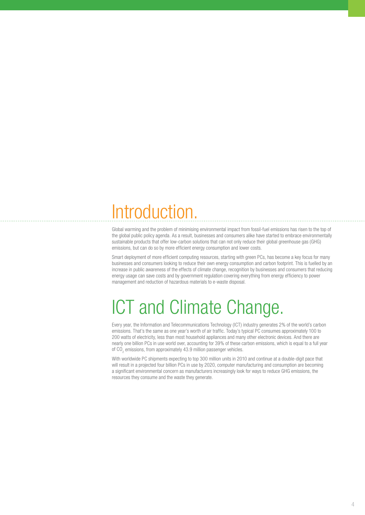# <span id="page-3-0"></span>Introduction.

Global warming and the problem of minimising environmental impact from fossil-fuel emissions has risen to the top of the global public policy agenda. As a result, businesses and consumers alike have started to embrace environmentally sustainable products that offer low-carbon solutions that can not only reduce their global greenhouse gas (GHG) emissions, but can do so by more efficient energy consumption and lower costs.

Smart deployment of more efficient computing resources, starting with green PCs, has become a key focus for many businesses and consumers looking to reduce their own energy consumption and carbon footprint. This is fuelled by an increase in public awareness of the effects of climate change, recognition by businesses and consumers that reducing energy usage can save costs and by government regulation covering everything from energy efficiency to power management and reduction of hazardous materials to e-waste disposal.

## ICT and Climate Change.

Every year, the Information and Telecommunications Technology (ICT) industry generates 2% of the world's carbon emissions. That's the same as one year's worth of air traffic. Today's typical PC consumes approximately 100 to 200 watts of electricity, less than most household appliances and many other electronic devices. And there are nearly one billion PCs in use world over, accounting for 39% of these carbon emissions, which is equal to a full year of  $CO_2$  emissions, from approximately 43.9 million passenger vehicles.

With worldwide PC shipments expecting to top 300 million units in 2010 and continue at a double-digit pace that will result in a projected four billion PCs in use by 2020, computer manufacturing and consumption are becoming a significant environmental concern as manufacturers increasingly look for ways to reduce GHG emissions, the resources they consume and the waste they generate.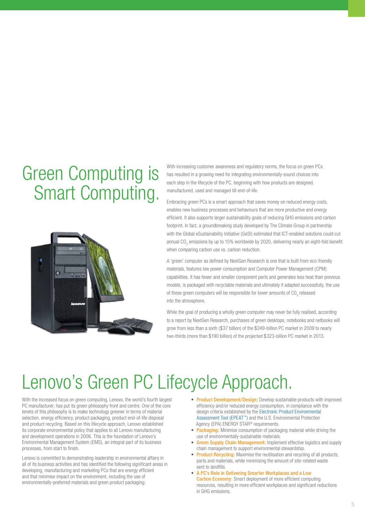# <span id="page-4-0"></span>Green Computing is Smart Computing.



With increasing customer awareness and regulatory norms, the focus on green PCs has resulted in a growing need for integrating environmentally-sound choices into each step in the lifecycle of the PC, beginning with how products are designed, manufactured, used and managed till end-of-life.

Embracing green PCs is a smart approach that saves money on reduced energy costs, enables new business processes and behaviours that are more productive and energy efficient. It also supports larger sustainability goals of reducing GHG emissions and carbon footprint. In fact, a groundbreaking study developed by The Climate Group in partnership with the Global eSustainability Initiative (GeSI) estimated that ICT-enabled solutions could cut annual CO<sub>2</sub> emissions by up to 15% worldwide by 2020, delivering nearly an eight-fold benefit when comparing carbon use vs. carbon reduction.

A 'green' computer as defined by NextGen Research is one that is built from eco-friendly materials, features low power consumption and Computer Power Management (CPM) capabilities. It has fewer and smaller component parts and generates less heat than previous models, is packaged with recyclable materials and ultimately if adapted successfully, the use of these green computers will be responsible for lower amounts of  $\mathrm{CO}_2$  released into the atmosphere.

While the goal of producing a wholly green computer may never be fully realised, according to a report by NextGen Research, purchases of green desktops, notebooks and netbooks will grow from less than a sixth (\$37 billion) of the \$249-billion PC market in 2009 to nearly two-thirds (more than \$190 billion) of the projected \$323-billion PC market in 2013.

## Lenovo's Green PC Lifecycle Approach.

With the increased focus on green computing, Lenovo, the world's fourth largest PC manufacturer, has put its green philosophy front and centre. One of the core tenets of this philosophy is to make technology greener in terms of material selection, energy efficiency, product packaging, product end-of-life disposal and product recycling. Based on this lifecycle approach, Lenovo established its corporate environmental policy that applies to all Lenovo manufacturing and development operations in 2006. This is the foundation of Lenovo's Environmental Management System (EMS), an integral part of its business processes, from start to finish.

Lenovo is committed to demonstrating leadership in environmental affairs in all of its business activities and has identified the following significant areas in developing, manufacturing and marketing PCs that are energy efficient and that minimise impact on the environment, including the use of environmentally-preferred materials and green product packaging:

- Product Development/Design: Develop sustainable products with improved efficiency and/or reduced energy consumption, in compliance with the design criteria established by the [Electronic Product Environmental](http://epeat.net/fastbenefits.aspx)  [Assessment Tool \(EPEAT™\)](http://epeat.net/fastbenefits.aspx) and the U.S. Environmental Protection Agency (EPA) ENERGY STAR® requirements.
- Packaging: Minimise consumption of packaging material while driving the use of environmentally-sustainable materials.
- **Green Supply Chain Management:** Implement effective logistics and supply chain management to support environmental stewardship.
- **Product Recycling:** Maximise the reutilisation and recycling of all products, parts and materials, while minimising the amount of site-related waste sent to landfills.
- • A PC's Role in Delivering Smarter Workplaces and a Low **Carbon Economy:** Smart deployment of more efficient computing resources, resulting in more efficient workplaces and significant reductions in GHG emissions.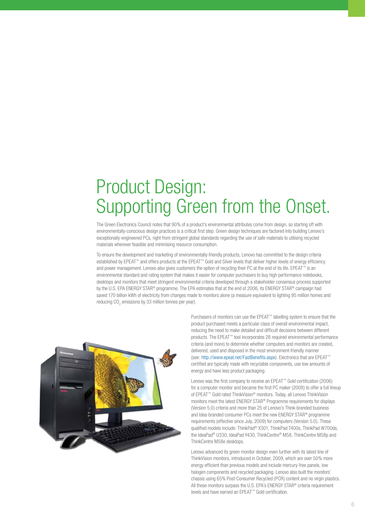## <span id="page-5-0"></span>Product Design: Supporting Green from the Onset.

The Green Electronics Council notes that 90% of a product's environmental attributes come from design, so starting off with environmentally-conscious design practices is a critical first step. Green design techniques are factored into building Lenovo's exceptionally-engineered PCs, right from stringent global standards regarding the use of safe materials to utilising recycled materials wherever feasible and minimising resource consumption.

To ensure the development and marketing of environmentally-friendly products, Lenovo has committed to the design criteria established by EPEAT™ and offers products at the EPEAT™ Gold and Silver levels that deliver higher levels of energy efficiency and power management. Lenovo also gives customers the option of recycling their PC at the end of its life. EPEAT™ is an environmental standard and rating system that makes it easier for computer purchasers to buy high performance notebooks, desktops and monitors that meet stringent environmental criteria developed through a stakeholder consensus process supported by the U.S. EPA ENERGY STAR® programme. The EPA estimates that at the end of 2006, its ENERGY STAR® campaign had saved 170 billion kWh of electricity from changes made to monitors alone (a measure equivalent to lighting 95 million homes and reducing  $CO<sub>2</sub>$  emissions by 33 million tonnes per year).



Purchasers of monitors can use the EPEAT™ labelling system to ensure that the product purchased meets a particular class of overall environmental impact, reducing the need to make detailed and difficult decisions between different products. The EPEAT™ tool incorporates 28 required environmental performance criteria (and more) to determine whether computers and monitors are created, delivered, used and disposed in the most environment-friendly manner (see: [http://www.epeat.net/FastBenefits.aspx\)](http://epeat.net/fastbenefits.aspx). Electronics that are EPEAT™ certified are typically made with recyclable components, use low amounts of energy and have less product packaging.

Lenovo was the first company to receive an EPEAT™ Gold certification (2006) for a computer monitor and became the first PC maker (2008) to offer a full lineup of EPEAT™ Gold rated ThinkVision® monitors. Today, all Lenovo ThinkVision monitors meet the latest ENERGY STAR® Programme requirements for displays (Version 5.0) criteria and more than 25 of Lenovo's Think-branded business and Idea-branded consumer PCs meet the new ENERGY STAR® programme requirements (effective since July, 2009) for computers (Version 5.0). These qualified models include: ThinkPad® X301, ThinkPad T400s, ThinkPad W700ds, the IdeaPad® U330, IdeaPad Y430, ThinkCentre® M58, ThinkCentre M58p and ThinkCentre M58e desktops.

Lenovo advanced its green monitor design even further with its latest line of ThinkVision monitors, introduced in October, 2009, which are over 50% more energy efficient than previous models and include mercury-free panels, low halogen components and recycled packaging. Lenovo also built the monitors' chassis using 65% Post-Consumer Recycled (PCR) content and no virgin plastics. All these monitors surpass the U.S. EPA's ENERGY STAR® criteria requirement levels and have earned an EPEAT™ Gold certification.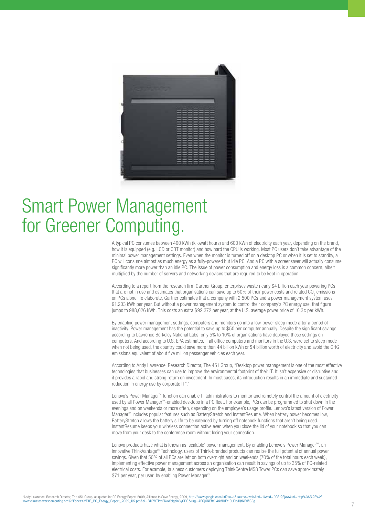<span id="page-6-0"></span>

#### Smart Power Management for Greener Computing.

A typical PC consumes between 400 kWh (kilowatt hours) and 600 kWh of electricity each year, depending on the brand, how it is equipped (e.g. LCD or CRT monitor) and how hard the CPU is working. Most PC users don't take advantage of the minimal power management settings. Even when the monitor is turned off on a desktop PC or when it is set to standby, a PC will consume almost as much energy as a fully-powered but idle PC. And a PC with a screensaver will actually consume significantly more power than an idle PC. The issue of power consumption and energy loss is a common concern, albeit multiplied by the number of servers and networking devices that are required to be kept in operation.

According to a report from the research firm Gartner Group, enterprises waste nearly \$4 billion each year powering PCs that are not in use and estimates that organisations can save up to 50% of their power costs and related CO<sub>2</sub> emissions on PCs alone. To elaborate, Gartner estimates that a company with 2,500 PCs and a power management system uses 91,203 kWh per year. But without a power management system to control their company's PC energy use, that figure jumps to 988,026 kWh. This costs an extra \$92,372 per year, at the U.S. average power price of 10.3¢ per kWh.

By enabling power management settings, computers and monitors go into a low-power sleep mode after a period of inactivity. Power management has the potential to save up to \$50 per computer annually. Despite the significant savings, according to Lawrence Berkeley National Labs, only 5% to 10% of organisations have deployed these settings on computers. And according to U.S. EPA estimates, if all office computers and monitors in the U.S. were set to sleep mode when not being used, the country could save more than 44 billion kWh or \$4 billion worth of electricity and avoid the GHG emissions equivalent of about five million passenger vehicles each year.

According to Andy Lawrence, Research Director, The 451 Group, "Desktop power management is one of the most effective technologies that businesses can use to improve the environmental footprint of their IT. It isn't expensive or disruptive and it provides a rapid and strong return on investment. In most cases, its introduction results in an immediate and sustained reduction in energy use by corporate IT\*."

Lenovo's Power Manager™ function can enable IT administrators to monitor and remotely control the amount of electricity used by all Power Manager™-enabled desktops in a PC fleet. For example, PCs can be programmed to shut down in the evenings and on weekends or more often, depending on the employee's usage profile. Lenovo's latest version of Power Manager™ includes popular features such as BatteryStretch and InstantResume. When battery power becomes low, BatteryStretch allows the battery's life to be extended by turning off notebook functions that aren't being used. InstantResume keeps your wireless connection active even when you close the lid of your notebook so that you can move from your desk to the conference room without losing your connection.

Lenovo products have what is known as 'scalable' power management. By enabling Lenovo's Power Manager™, an innovative ThinkVantage® Technology, users of Think-branded products can realise the full potential of annual power savings. Given that 50% of all PCs are left on both overnight and on weekends (70% of the total hours each week), implementing effective power management across an organisation can result in savings of up to 35% of PC-related electrical costs. For example, business customers deploying ThinkCentre M58 Tower PCs can save approximately \$71 per year, per user, by enabling Power Manager™.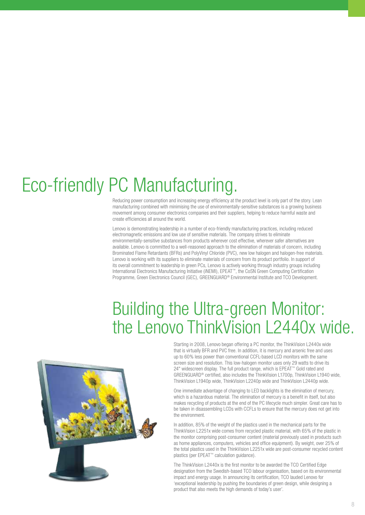# <span id="page-7-0"></span>Eco-friendly PC Manufacturing.

Reducing power consumption and increasing energy efficiency at the product level is only part of the story. Lean manufacturing combined with minimising the use of environmentally-sensitive substances is a growing business movement among consumer electronics companies and their suppliers, helping to reduce harmful waste and create efficiencies all around the world.

Lenovo is demonstrating leadership in a number of eco-friendly manufacturing practices, including reduced electromagnetic emissions and low use of sensitive materials. The company strives to eliminate environmentally-sensitive substances from products wherever cost effective, wherever safer alternatives are available. Lenovo is committed to a well-reasoned approach to the elimination of materials of concern, including Brominated Flame Retardants (BFRs) and PolyVinyl Chloride (PVC), new low halogen and halogen-free materials. Lenovo is working with its suppliers to eliminate materials of concern from its product portfolio. In support of its overall commitment to leadership in green PCs, Lenovo is actively working through industry groups including International Electronics Manufacturing Initiative (iNEMI), EPEAT™, the CoSN Green Computing Certification Programme, Green Electronics Council (GEC), GREENGUARD® Environmental Institute and TCO Development.

#### Building the Ultra-green Monitor: the Lenovo ThinkVision L2440x wide.



Starting in 2008, Lenovo began offering a PC monitor, the ThinkVision L2440x wide that is virtually BFR and PVC free. In addition, it is mercury and arsenic free and uses up to 60% less power than conventional CCFL-based LCD monitors with the same screen size and resolution. This low-halogen monitor uses only 29 watts to drive its 24" widescreen display. The full product range, which is EPEAT™ Gold rated and GREENGUARD® certified, also includes the ThinkVision L1700p, ThinkVision L1940 wide, ThinkVision L1940p wide, ThinkVision L2240p wide and ThinkVision L2440p wide.

One immediate advantage of changing to LED backlights is the elimination of mercury, which is a hazardous material. The elimination of mercury is a benefit in itself, but also makes recycling of products at the end of the PC lifecycle much simpler. Great care has to be taken in disassembling LCDs with CCFLs to ensure that the mercury does not get into the environment.

In addition, 85% of the weight of the plastics used in the mechanical parts for the ThinkVision L2251x wide comes from recycled plastic material, with 65% of the plastic in the monitor comprising post-consumer content (material previously used in products such as home appliances, computers, vehicles and office equipment). By weight, over 25% of the total plastics used in the ThinkVision L2251x wide are post-consumer recycled content plastics (per EPEAT™ calculation guidance).

The ThinkVision L2440x is the first monitor to be awarded the TCO Certified Edge designation from the Swedish-based TCO labour organisation, based on its environmental impact and energy usage. In announcing its certification, TCO lauded Lenovo for 'exceptional leadership by pushing the boundaries of green design, while designing a product that also meets the high demands of today's user'.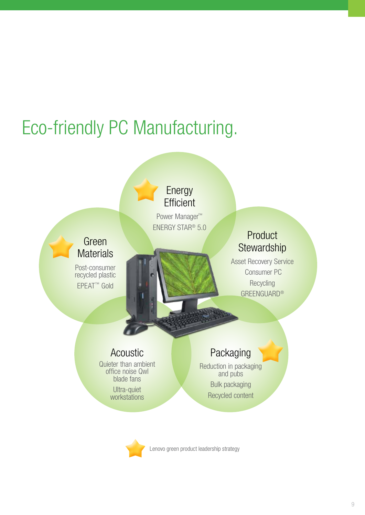# Eco-friendly PC Manufacturing.



Lenovo green product leadership strategy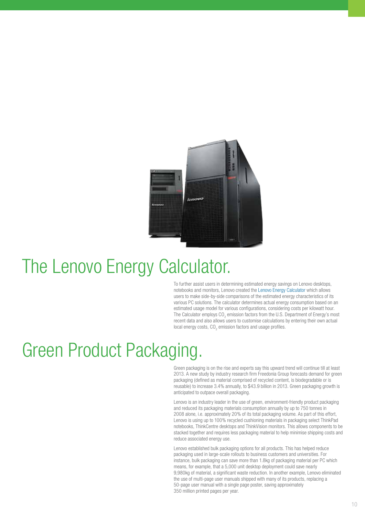<span id="page-9-0"></span>

#### The Lenovo Energy Calculator.

To further assist users in determining estimated energy savings on Lenovo desktops, notebooks and monitors, Lenovo created the [Lenovo Energy Calculator](http://www.lenovoweb.com/energycalculator/) which allows users to make side-by-side comparisons of the estimated energy characteristics of its various PC solutions. The calculator determines actual energy consumption based on an estimated usage model for various configurations, considering costs per kilowatt hour. The Calculator employs CO<sub>2</sub> emission factors from the U.S. Department of Energy's most recent data and also allows users to customise calculations by entering their own actual local energy costs,  $CO_2$  emission factors and usage profiles.

### Green Product Packaging.

Green packaging is on the rise and experts say this upward trend will continue till at least 2013. A new study by industry research firm Freedonia Group forecasts demand for green packaging (defined as material comprised of recycled content, is biodegradable or is reusable) to increase 3.4% annually, to \$43.9 billion in 2013. Green packaging growth is anticipated to outpace overall packaging.

Lenovo is an industry leader in the use of green, environment-friendly product packaging and reduced its packaging materials consumption annually by up to 750 tonnes in 2008 alone, i.e. approximately 20% of its total packaging volume. As part of this effort, Lenovo is using up to 100% recycled cushioning materials in packaging select ThinkPad notebooks, ThinkCentre desktops and ThinkVision monitors. This allows components to be stacked together and requires less packaging material to help minimise shipping costs and reduce associated energy use.

Lenovo established bulk packaging options for all products. This has helped reduce packaging used in large-scale rollouts to business customers and universities. For instance, bulk packaging can save more than 1.8kg of packaging material per PC which means, for example, that a 5,000 unit desktop deployment could save nearly 9,980kg of material, a significant waste reduction. In another example, Lenovo eliminated the use of multi-page user manuals shipped with many of its products, replacing a 50-page user manual with a single page poster, saving approximately 350 million printed pages per year.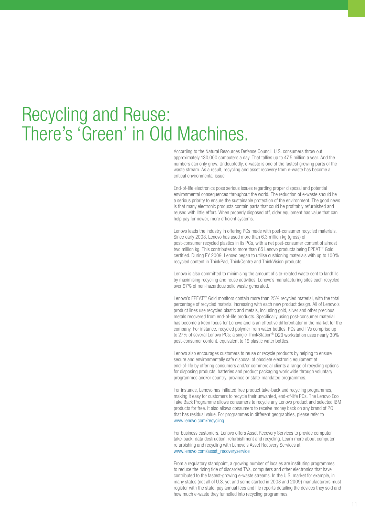#### <span id="page-10-0"></span>Recycling and Reuse: There's 'Green' in Old Machines.

According to the Natural Resources Defense Council, U.S. consumers throw out approximately 130,000 computers a day. That tallies up to 47.5 million a year. And the numbers can only grow. Undoubtedly, e-waste is one of the fastest growing parts of the waste stream. As a result, recycling and asset recovery from e-waste has become a critical environmental issue.

End-of-life electronics pose serious issues regarding proper disposal and potential environmental consequences throughout the world. The reduction of e-waste should be a serious priority to ensure the sustainable protection of the environment. The good news is that many electronic products contain parts that could be profitably refurbished and reused with little effort. When properly disposed off, older equipment has value that can help pay for newer, more efficient systems.

Lenovo leads the industry in offering PCs made with post-consumer recycled materials. Since early 2008, Lenovo has used more than 6.3 million kg (gross) of post-consumer recycled plastics in its PCs, with a net post-consumer content of almost two million kg. This contributes to more than 65 Lenovo products being EPEAT™ Gold certified. During FY 2009, Lenovo began to utilise cushioning materials with up to 100% recycled content in ThinkPad, ThinkCentre and ThinkVision products.

Lenovo is also committed to minimising the amount of site-related waste sent to landfills by maximising recycling and reuse activities. Lenovo's manufacturing sites each recycled over 97% of non-hazardous solid waste generated.

Lenovo's EPEAT™ Gold monitors contain more than 25% recycled material, with the total percentage of recycled material increasing with each new product design. All of Lenovo's product lines use recycled plastic and metals, including gold, silver and other precious metals recovered from end-of-life products. Specifically using post-consumer material has become a keen focus for Lenovo and is an effective differentiator in the market for the company. For instance, recycled polymer from water bottles, PCs and TVs comprise up to 27% of several Lenovo PCs; a single ThinkStation® D20 workstation uses nearly 30% post-consumer content, equivalent to 19 plastic water bottles.

Lenovo also encourages customers to reuse or recycle products by helping to ensure secure and environmentally safe disposal of obsolete electronic equipment at end-of-life by offering consumers and/or commercial clients a range of recycling options for disposing products, batteries and product packaging worldwide through voluntary programmes and/or country, province or state-mandated programmes.

For instance, Lenovo has initiated free product take-back and recycling programmes, making it easy for customers to recycle their unwanted, end-of-life PCs. The Lenovo Eco Take Back Programme allows consumers to recycle any Lenovo product and selected IBM products for free. It also allows consumers to receive money back on any brand of PC that has residual value. For programmes in different geographies, please refer to www.lenovo.com/recycling

For business customers, Lenovo offers Asset Recovery Services to provide computer take-back, data destruction, refurbishment and recycling. Learn more about computer refurbishing and recycling with Lenovo's Asset Recovery Services at www.lenovo.com/asset\_recoveryservice

From a regulatory standpoint, a growing number of locales are instituting programmes to reduce the rising tide of discarded TVs, computers and other electronics that have contributed to the fastest-growing e-waste streams. In the U.S. market for example, in many states (not all of U.S. yet and some started in 2008 and 2009) manufacturers must register with the state, pay annual fees and file reports detailing the devices they sold and how much e-waste they funnelled into recycling programmes.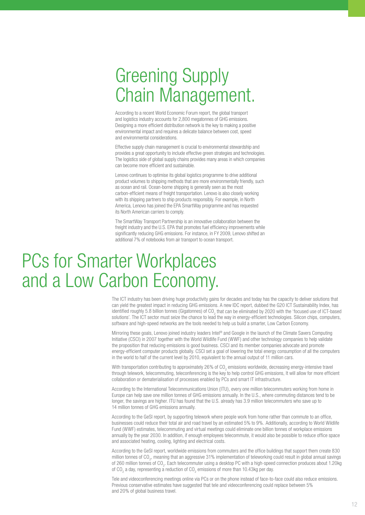### <span id="page-11-0"></span>Greening Supply Chain Management.

According to a recent World Economic Forum report, the global transport and logistics industry accounts for 2,800 megatonnes of GHG emissions. Designing a more efficient distribution network is the key to making a positive environmental impact and requires a delicate balance between cost, speed and environmental considerations.

Effective supply chain management is crucial to environmental stewardship and provides a great opportunity to include effective green strategies and technologies. The logistics side of global supply chains provides many areas in which companies can become more efficient and sustainable.

Lenovo continues to optimise its global logistics programme to drive additional product volumes to shipping methods that are more environmentally friendly, such as ocean and rail. Ocean-borne shipping is generally seen as the most carbon-efficient means of freight transportation. Lenovo is also closely working with its shipping partners to ship products responsibly. For example, in North America, Lenovo has joined the EPA SmartWay programme and has requested its North American carriers to comply.

The SmartWay Transport Partnership is an innovative collaboration between the freight industry and the U.S. EPA that promotes fuel efficiency improvements while significantly reducing GHG emissions. For instance, in FY 2009, Lenovo shifted an additional 7% of notebooks from air transport to ocean transport.

#### PCs for Smarter Workplaces and a Low Carbon Economy.

The ICT industry has been driving huge productivity gains for decades and today has the capacity to deliver solutions that can yield the greatest impact in reducing GHG emissions. A new IDC report, dubbed the G20 ICT Sustainability Index, has identified roughly 5.8 billion tonnes (Gigatonnes) of CO<sub>2</sub> that can be eliminated by 2020 with the 'focused use of ICT-based solutions'. The ICT sector must seize the chance to lead the way in energy-efficient technologies. Silicon chips, computers, software and high-speed networks are the tools needed to help us build a smarter, Low Carbon Economy.

Mirroring these goals, Lenovo joined industry leaders Intel® and Google in the launch of the Climate Savers Computing Initiative (CSCI) in 2007 together with the World Wildlife Fund (WWF) and other technology companies to help validate the proposition that reducing emissions is good business. CSCI and its member companies advocate and promote energy-efficient computer products globally. CSCI set a goal of lowering the total energy consumption of all the computers in the world to half of the current level by 2010, equivalent to the annual output of 11 million cars.

With transportation contributing to approximately 26% of CO<sub>2</sub> emissions worldwide, decreasing energy-intensive travel through telework, telecommuting, teleconferencing is the key to help control GHG emissions, It will allow for more efficient collaboration or dematerialisation of processes enabled by PCs and smart IT infrastructure.

According to the International Telecommunications Union (ITU), every one million telecommuters working from home in Europe can help save one million tonnes of GHG emissions annually. In the U.S., where commuting distances tend to be longer, the savings are higher. ITU has found that the U.S. already has 3.9 million telecommuters who save up to 14 million tonnes of GHG emissions annually.

According to the GeSI report, by supporting telework where people work from home rather than commute to an office, businesses could reduce their total air and road travel by an estimated 5% to 9%. Additionally, according to World Wildlife Fund (WWF) estimates, telecommuting and virtual meetings could eliminate one billion tonnes of workplace emissions annually by the year 2030. In addition, if enough employees telecommute, it would also be possible to reduce office space and associated heating, cooling, lighting and electrical costs.

According to the GeSI report, worldwide emissions from commuters and the office buildings that support them create 830 million tonnes of CO<sub>2</sub>, meaning that an aggressive 31% implementation of teleworking could result in global annual savings of 260 million tonnes of CO<sub>2</sub>. Each telecommuter using a desktop PC with a high-speed connection produces about 1.20kg of CO<sub>2</sub> a day, representing a reduction of CO<sub>2</sub> emissions of more than 10.43kg per day.

Tele and videoconferencing meetings online via PCs or on the phone instead of face-to-face could also reduce emissions. Previous conservative estimates have suggested that tele and videoconferencing could replace between 5% and 20% of global business travel.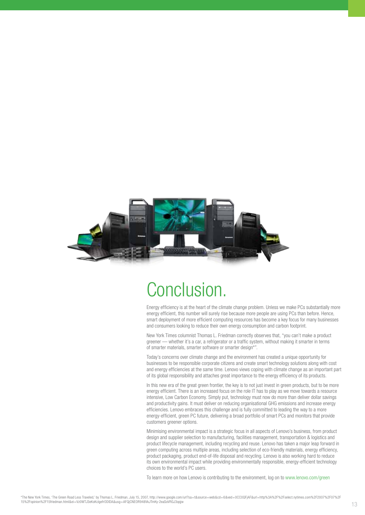<span id="page-12-0"></span>

#### Conclusion.

Energy efficiency is at the heart of the climate change problem. Unless we make PCs substantially more energy efficient, this number will surely rise because more people are using PCs than before. Hence, smart deployment of more efficient computing resources has become a key focus for many businesses and consumers looking to reduce their own energy consumption and carbon footprint.

New York Times columnist Thomas L. Friedman correctly observes that, "you can't make a product greener — whether it's a car, a refrigerator or a traffic system, without making it smarter in terms of smarter materials, smarter software or smarter design\*".

Today's concerns over climate change and the environment has created a unique opportunity for businesses to be responsible corporate citizens and create smart technology solutions along with cost and energy efficiencies at the same time. Lenovo views coping with climate change as an important part of its global responsibility and attaches great importance to the energy efficiency of its products.

In this new era of the great green frontier, the key is to not just invest in green products, but to be more energy efficient. There is an increased focus on the role IT has to play as we move towards a resource intensive, Low Carbon Economy. Simply put, technology must now do more than deliver dollar savings and productivity gains. It must deliver on reducing organisational GHG emissions and increase energy efficiencies. Lenovo embraces this challenge and is fully committed to leading the way to a more energy-efficient, green PC future, delivering a broad portfolio of smart PCs and monitors that provide customers greener options.

Minimising environmental impact is a strategic focus in all aspects of Lenovo's business, from product design and supplier selection to manufacturing, facilities management, transportation & logistics and product lifecycle management, including recycling and reuse. Lenovo has taken a major leap forward in green computing across multiple areas, including selection of eco-friendly materials, energy efficiency, product packaging, product end-of-life disposal and recycling. Lenovo is also working hard to reduce its own environmental impact while providing environmentally responsible, energy-efficient technology choices to the world's PC users.

To learn more on how Lenovo is contributing to the environment, log on to [www.lenovo.com/green](http://www.lenovo.com/green)